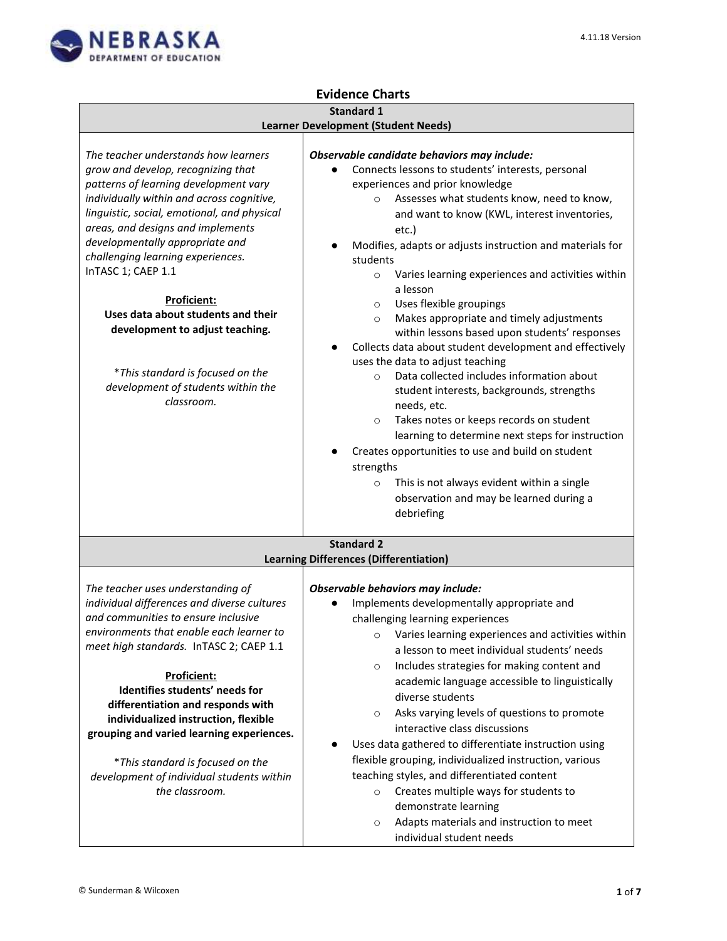┑



 $\Gamma$ 

## **Evidence Charts**

## **Standard 1**

| <b>Learner Development (Student Needs)</b>                                                                                                                                                                                                                                                                                                                                                                                                                                                                                         |                                                                                                                                                                                                                                                                                                                                                                                                                                                                                                                                                                                                                                                                                                                                                                                                                                                                                                                                                                                                                                                                           |
|------------------------------------------------------------------------------------------------------------------------------------------------------------------------------------------------------------------------------------------------------------------------------------------------------------------------------------------------------------------------------------------------------------------------------------------------------------------------------------------------------------------------------------|---------------------------------------------------------------------------------------------------------------------------------------------------------------------------------------------------------------------------------------------------------------------------------------------------------------------------------------------------------------------------------------------------------------------------------------------------------------------------------------------------------------------------------------------------------------------------------------------------------------------------------------------------------------------------------------------------------------------------------------------------------------------------------------------------------------------------------------------------------------------------------------------------------------------------------------------------------------------------------------------------------------------------------------------------------------------------|
|                                                                                                                                                                                                                                                                                                                                                                                                                                                                                                                                    |                                                                                                                                                                                                                                                                                                                                                                                                                                                                                                                                                                                                                                                                                                                                                                                                                                                                                                                                                                                                                                                                           |
| The teacher understands how learners<br>grow and develop, recognizing that<br>patterns of learning development vary<br>individually within and across cognitive,<br>linguistic, social, emotional, and physical<br>areas, and designs and implements<br>developmentally appropriate and<br>challenging learning experiences.<br>InTASC 1; CAEP 1.1<br>Proficient:<br>Uses data about students and their<br>development to adjust teaching.<br>*This standard is focused on the<br>development of students within the<br>classroom. | Observable candidate behaviors may include:<br>Connects lessons to students' interests, personal<br>experiences and prior knowledge<br>Assesses what students know, need to know,<br>$\circ$<br>and want to know (KWL, interest inventories,<br>etc.)<br>Modifies, adapts or adjusts instruction and materials for<br>students<br>Varies learning experiences and activities within<br>$\circ$<br>a lesson<br>Uses flexible groupings<br>$\circ$<br>Makes appropriate and timely adjustments<br>$\circ$<br>within lessons based upon students' responses<br>Collects data about student development and effectively<br>uses the data to adjust teaching<br>Data collected includes information about<br>$\circ$<br>student interests, backgrounds, strengths<br>needs, etc.<br>Takes notes or keeps records on student<br>$\circ$<br>learning to determine next steps for instruction<br>Creates opportunities to use and build on student<br>strengths<br>This is not always evident within a single<br>$\circ$<br>observation and may be learned during a<br>debriefing |
|                                                                                                                                                                                                                                                                                                                                                                                                                                                                                                                                    | <b>Standard 2</b>                                                                                                                                                                                                                                                                                                                                                                                                                                                                                                                                                                                                                                                                                                                                                                                                                                                                                                                                                                                                                                                         |
|                                                                                                                                                                                                                                                                                                                                                                                                                                                                                                                                    | <b>Learning Differences (Differentiation)</b>                                                                                                                                                                                                                                                                                                                                                                                                                                                                                                                                                                                                                                                                                                                                                                                                                                                                                                                                                                                                                             |
|                                                                                                                                                                                                                                                                                                                                                                                                                                                                                                                                    |                                                                                                                                                                                                                                                                                                                                                                                                                                                                                                                                                                                                                                                                                                                                                                                                                                                                                                                                                                                                                                                                           |
| The teacher uses understanding of<br>individual differences and diverse cultures                                                                                                                                                                                                                                                                                                                                                                                                                                                   | Observable behaviors may include:                                                                                                                                                                                                                                                                                                                                                                                                                                                                                                                                                                                                                                                                                                                                                                                                                                                                                                                                                                                                                                         |
| and communities to ensure inclusive                                                                                                                                                                                                                                                                                                                                                                                                                                                                                                | Implements developmentally appropriate and                                                                                                                                                                                                                                                                                                                                                                                                                                                                                                                                                                                                                                                                                                                                                                                                                                                                                                                                                                                                                                |
| environments that enable each learner to                                                                                                                                                                                                                                                                                                                                                                                                                                                                                           | challenging learning experiences                                                                                                                                                                                                                                                                                                                                                                                                                                                                                                                                                                                                                                                                                                                                                                                                                                                                                                                                                                                                                                          |
| meet high standards. InTASC 2; CAEP 1.1                                                                                                                                                                                                                                                                                                                                                                                                                                                                                            | Varies learning experiences and activities within<br>$\circ$                                                                                                                                                                                                                                                                                                                                                                                                                                                                                                                                                                                                                                                                                                                                                                                                                                                                                                                                                                                                              |
|                                                                                                                                                                                                                                                                                                                                                                                                                                                                                                                                    | a lesson to meet individual students' needs                                                                                                                                                                                                                                                                                                                                                                                                                                                                                                                                                                                                                                                                                                                                                                                                                                                                                                                                                                                                                               |
| Proficient:                                                                                                                                                                                                                                                                                                                                                                                                                                                                                                                        | Includes strategies for making content and<br>$\circ$                                                                                                                                                                                                                                                                                                                                                                                                                                                                                                                                                                                                                                                                                                                                                                                                                                                                                                                                                                                                                     |
| Identifies students' needs for                                                                                                                                                                                                                                                                                                                                                                                                                                                                                                     | academic language accessible to linguistically                                                                                                                                                                                                                                                                                                                                                                                                                                                                                                                                                                                                                                                                                                                                                                                                                                                                                                                                                                                                                            |
| differentiation and responds with                                                                                                                                                                                                                                                                                                                                                                                                                                                                                                  | diverse students                                                                                                                                                                                                                                                                                                                                                                                                                                                                                                                                                                                                                                                                                                                                                                                                                                                                                                                                                                                                                                                          |
| individualized instruction, flexible                                                                                                                                                                                                                                                                                                                                                                                                                                                                                               | Asks varying levels of questions to promote<br>$\circ$                                                                                                                                                                                                                                                                                                                                                                                                                                                                                                                                                                                                                                                                                                                                                                                                                                                                                                                                                                                                                    |
| grouping and varied learning experiences.                                                                                                                                                                                                                                                                                                                                                                                                                                                                                          | interactive class discussions                                                                                                                                                                                                                                                                                                                                                                                                                                                                                                                                                                                                                                                                                                                                                                                                                                                                                                                                                                                                                                             |
|                                                                                                                                                                                                                                                                                                                                                                                                                                                                                                                                    | Uses data gathered to differentiate instruction using                                                                                                                                                                                                                                                                                                                                                                                                                                                                                                                                                                                                                                                                                                                                                                                                                                                                                                                                                                                                                     |
| *This standard is focused on the                                                                                                                                                                                                                                                                                                                                                                                                                                                                                                   | flexible grouping, individualized instruction, various                                                                                                                                                                                                                                                                                                                                                                                                                                                                                                                                                                                                                                                                                                                                                                                                                                                                                                                                                                                                                    |
| development of individual students within                                                                                                                                                                                                                                                                                                                                                                                                                                                                                          | teaching styles, and differentiated content                                                                                                                                                                                                                                                                                                                                                                                                                                                                                                                                                                                                                                                                                                                                                                                                                                                                                                                                                                                                                               |
| the classroom.                                                                                                                                                                                                                                                                                                                                                                                                                                                                                                                     | Creates multiple ways for students to<br>$\circ$                                                                                                                                                                                                                                                                                                                                                                                                                                                                                                                                                                                                                                                                                                                                                                                                                                                                                                                                                                                                                          |
|                                                                                                                                                                                                                                                                                                                                                                                                                                                                                                                                    | demonstrate learning                                                                                                                                                                                                                                                                                                                                                                                                                                                                                                                                                                                                                                                                                                                                                                                                                                                                                                                                                                                                                                                      |
|                                                                                                                                                                                                                                                                                                                                                                                                                                                                                                                                    | Adapts materials and instruction to meet<br>$\circ$                                                                                                                                                                                                                                                                                                                                                                                                                                                                                                                                                                                                                                                                                                                                                                                                                                                                                                                                                                                                                       |
|                                                                                                                                                                                                                                                                                                                                                                                                                                                                                                                                    | individual student needs                                                                                                                                                                                                                                                                                                                                                                                                                                                                                                                                                                                                                                                                                                                                                                                                                                                                                                                                                                                                                                                  |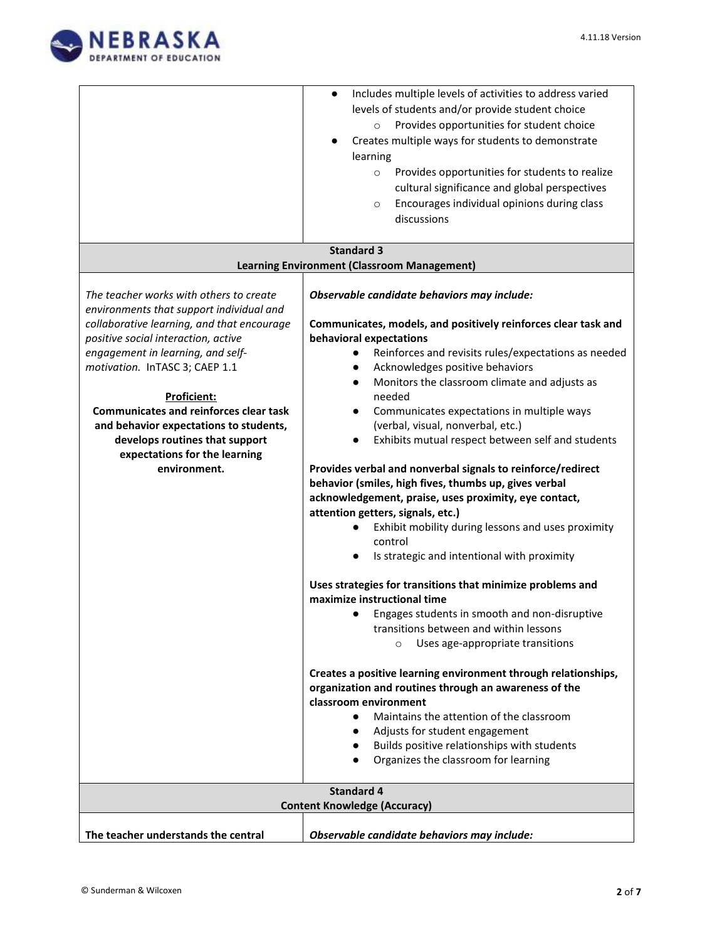

|                                                          | Includes multiple levels of activities to address varied<br>$\bullet$ |  |
|----------------------------------------------------------|-----------------------------------------------------------------------|--|
|                                                          | levels of students and/or provide student choice                      |  |
|                                                          | Provides opportunities for student choice<br>$\circ$                  |  |
|                                                          | Creates multiple ways for students to demonstrate                     |  |
|                                                          | learning                                                              |  |
|                                                          | Provides opportunities for students to realize<br>$\circ$             |  |
|                                                          | cultural significance and global perspectives                         |  |
|                                                          | Encourages individual opinions during class<br>$\circ$                |  |
|                                                          | discussions                                                           |  |
|                                                          |                                                                       |  |
|                                                          | <b>Standard 3</b>                                                     |  |
|                                                          | <b>Learning Environment (Classroom Management)</b>                    |  |
|                                                          |                                                                       |  |
| The teacher works with others to create                  | Observable candidate behaviors may include:                           |  |
| environments that support individual and                 |                                                                       |  |
| collaborative learning, and that encourage               | Communicates, models, and positively reinforces clear task and        |  |
| positive social interaction, active                      | behavioral expectations                                               |  |
| engagement in learning, and self-                        | Reinforces and revisits rules/expectations as needed<br>$\bullet$     |  |
| motivation. InTASC 3; CAEP 1.1                           | Acknowledges positive behaviors<br>$\bullet$                          |  |
|                                                          | Monitors the classroom climate and adjusts as<br>$\bullet$            |  |
| Proficient:                                              | needed                                                                |  |
| <b>Communicates and reinforces clear task</b>            | Communicates expectations in multiple ways<br>$\bullet$               |  |
| and behavior expectations to students,                   | (verbal, visual, nonverbal, etc.)                                     |  |
| develops routines that support                           | Exhibits mutual respect between self and students<br>$\bullet$        |  |
| expectations for the learning                            |                                                                       |  |
| environment.                                             | Provides verbal and nonverbal signals to reinforce/redirect           |  |
|                                                          | behavior (smiles, high fives, thumbs up, gives verbal                 |  |
|                                                          | acknowledgement, praise, uses proximity, eye contact,                 |  |
|                                                          | attention getters, signals, etc.)                                     |  |
|                                                          | Exhibit mobility during lessons and uses proximity<br>control         |  |
|                                                          | Is strategic and intentional with proximity                           |  |
|                                                          |                                                                       |  |
|                                                          | Uses strategies for transitions that minimize problems and            |  |
|                                                          | maximize instructional time                                           |  |
|                                                          | Engages students in smooth and non-disruptive<br>$\bullet$            |  |
|                                                          | transitions between and within lessons                                |  |
|                                                          | Uses age-appropriate transitions<br>$\Omega$                          |  |
|                                                          |                                                                       |  |
|                                                          | Creates a positive learning environment through relationships,        |  |
|                                                          | organization and routines through an awareness of the                 |  |
|                                                          | classroom environment                                                 |  |
|                                                          | Maintains the attention of the classroom<br>$\bullet$                 |  |
|                                                          | Adjusts for student engagement<br>$\bullet$                           |  |
|                                                          | Builds positive relationships with students<br>$\bullet$              |  |
|                                                          | Organizes the classroom for learning<br>$\bullet$                     |  |
|                                                          |                                                                       |  |
| <b>Standard 4</b><br><b>Content Knowledge (Accuracy)</b> |                                                                       |  |
|                                                          |                                                                       |  |
| The teacher understands the central                      | Observable candidate behaviors may include:                           |  |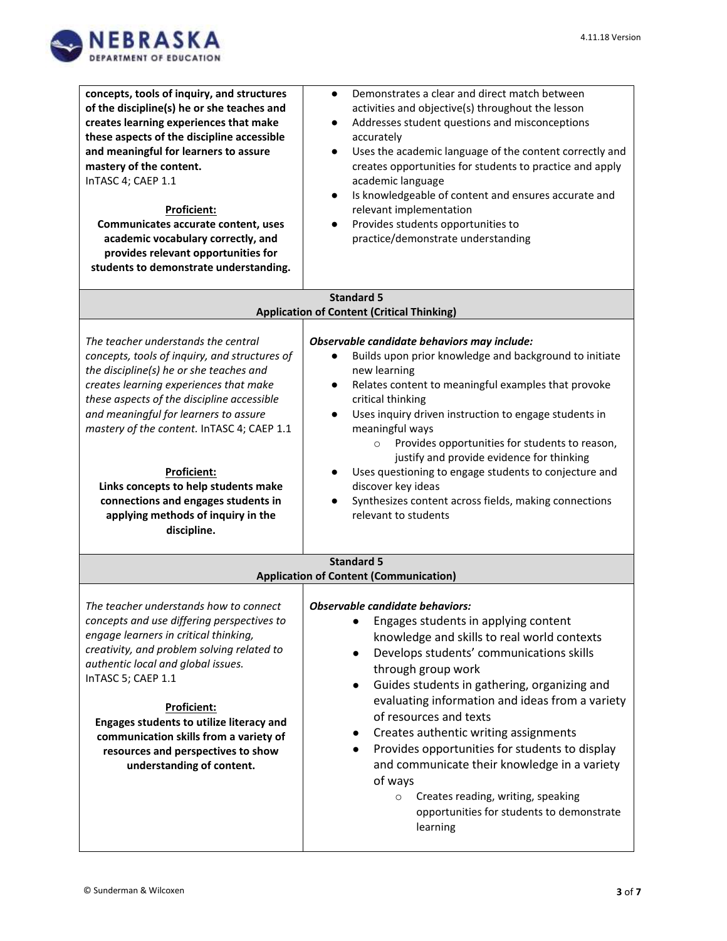

| concepts, tools of inquiry, and structures<br>of the discipline(s) he or she teaches and<br>creates learning experiences that make<br>these aspects of the discipline accessible<br>and meaningful for learners to assure<br>mastery of the content.<br>InTASC 4; CAEP 1.1<br><b>Proficient:</b><br>Communicates accurate content, uses<br>academic vocabulary correctly, and<br>provides relevant opportunities for<br>students to demonstrate understanding.           | Demonstrates a clear and direct match between<br>$\bullet$<br>activities and objective(s) throughout the lesson<br>Addresses student questions and misconceptions<br>$\bullet$<br>accurately<br>Uses the academic language of the content correctly and<br>$\bullet$<br>creates opportunities for students to practice and apply<br>academic language<br>Is knowledgeable of content and ensures accurate and<br>$\bullet$<br>relevant implementation<br>Provides students opportunities to<br>$\bullet$<br>practice/demonstrate understanding                                                                                                   |
|--------------------------------------------------------------------------------------------------------------------------------------------------------------------------------------------------------------------------------------------------------------------------------------------------------------------------------------------------------------------------------------------------------------------------------------------------------------------------|--------------------------------------------------------------------------------------------------------------------------------------------------------------------------------------------------------------------------------------------------------------------------------------------------------------------------------------------------------------------------------------------------------------------------------------------------------------------------------------------------------------------------------------------------------------------------------------------------------------------------------------------------|
| <b>Standard 5</b><br><b>Application of Content (Critical Thinking)</b>                                                                                                                                                                                                                                                                                                                                                                                                   |                                                                                                                                                                                                                                                                                                                                                                                                                                                                                                                                                                                                                                                  |
| The teacher understands the central<br>concepts, tools of inquiry, and structures of<br>the discipline(s) he or she teaches and<br>creates learning experiences that make<br>these aspects of the discipline accessible<br>and meaningful for learners to assure<br>mastery of the content. InTASC 4; CAEP 1.1<br><b>Proficient:</b><br>Links concepts to help students make<br>connections and engages students in<br>applying methods of inquiry in the<br>discipline. | Observable candidate behaviors may include:<br>Builds upon prior knowledge and background to initiate<br>$\bullet$<br>new learning<br>Relates content to meaningful examples that provoke<br>$\bullet$<br>critical thinking<br>Uses inquiry driven instruction to engage students in<br>$\bullet$<br>meaningful ways<br>Provides opportunities for students to reason,<br>$\circ$<br>justify and provide evidence for thinking<br>Uses questioning to engage students to conjecture and<br>discover key ideas<br>Synthesizes content across fields, making connections<br>relevant to students                                                   |
|                                                                                                                                                                                                                                                                                                                                                                                                                                                                          | <b>Standard 5</b><br><b>Application of Content (Communication)</b>                                                                                                                                                                                                                                                                                                                                                                                                                                                                                                                                                                               |
| The teacher understands how to connect<br>concepts and use differing perspectives to<br>engage learners in critical thinking,<br>creativity, and problem solving related to<br>authentic local and global issues.<br>InTASC 5; CAEP 1.1<br>Proficient:<br>Engages students to utilize literacy and<br>communication skills from a variety of<br>resources and perspectives to show<br>understanding of content.                                                          | <b>Observable candidate behaviors:</b><br>Engages students in applying content<br>knowledge and skills to real world contexts<br>Develops students' communications skills<br>$\bullet$<br>through group work<br>Guides students in gathering, organizing and<br>$\bullet$<br>evaluating information and ideas from a variety<br>of resources and texts<br>Creates authentic writing assignments<br>$\bullet$<br>Provides opportunities for students to display<br>$\bullet$<br>and communicate their knowledge in a variety<br>of ways<br>Creates reading, writing, speaking<br>$\circ$<br>opportunities for students to demonstrate<br>learning |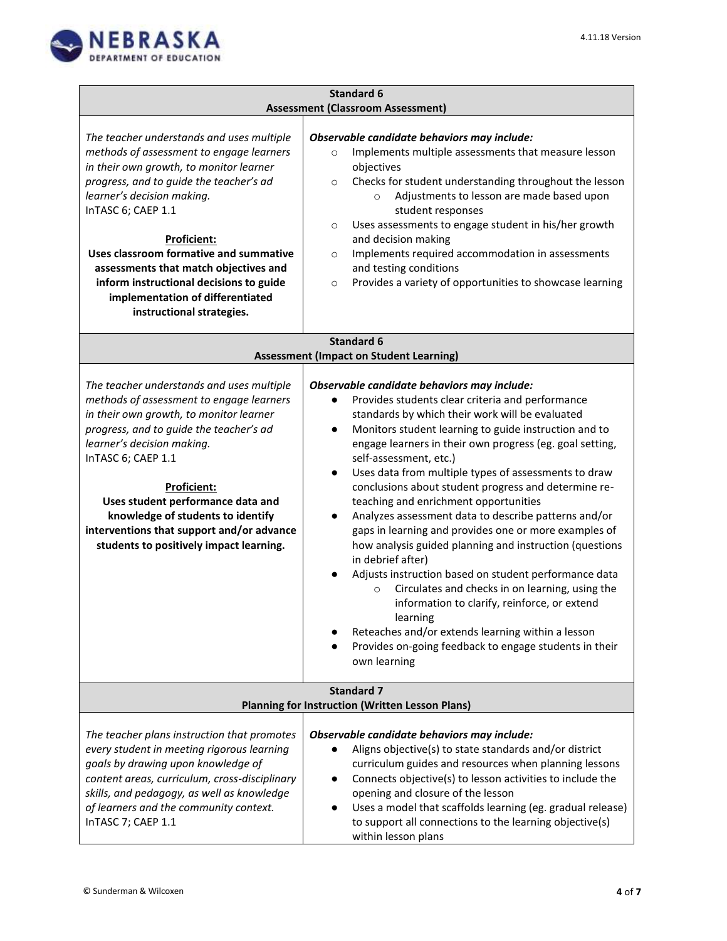

|                                                                                                                                                                                                                                                                                                                                                                                                                                               | <b>Standard 6</b>                                                                                                                                                                                                                                                                                                                                                                                                                                                                                                                                                                                                                                                                                                                                                                                                                                                                                                                                                                                                                 |
|-----------------------------------------------------------------------------------------------------------------------------------------------------------------------------------------------------------------------------------------------------------------------------------------------------------------------------------------------------------------------------------------------------------------------------------------------|-----------------------------------------------------------------------------------------------------------------------------------------------------------------------------------------------------------------------------------------------------------------------------------------------------------------------------------------------------------------------------------------------------------------------------------------------------------------------------------------------------------------------------------------------------------------------------------------------------------------------------------------------------------------------------------------------------------------------------------------------------------------------------------------------------------------------------------------------------------------------------------------------------------------------------------------------------------------------------------------------------------------------------------|
| <b>Assessment (Classroom Assessment)</b>                                                                                                                                                                                                                                                                                                                                                                                                      |                                                                                                                                                                                                                                                                                                                                                                                                                                                                                                                                                                                                                                                                                                                                                                                                                                                                                                                                                                                                                                   |
| The teacher understands and uses multiple<br>methods of assessment to engage learners<br>in their own growth, to monitor learner<br>progress, and to guide the teacher's ad<br>learner's decision making.<br>InTASC 6; CAEP 1.1<br>Proficient:<br>Uses classroom formative and summative<br>assessments that match objectives and<br>inform instructional decisions to guide<br>implementation of differentiated<br>instructional strategies. | Observable candidate behaviors may include:<br>Implements multiple assessments that measure lesson<br>$\circ$<br>objectives<br>Checks for student understanding throughout the lesson<br>$\circ$<br>Adjustments to lesson are made based upon<br>$\circ$<br>student responses<br>Uses assessments to engage student in his/her growth<br>$\circ$<br>and decision making<br>Implements required accommodation in assessments<br>$\circ$<br>and testing conditions<br>Provides a variety of opportunities to showcase learning<br>$\circ$                                                                                                                                                                                                                                                                                                                                                                                                                                                                                           |
| <b>Standard 6</b><br><b>Assessment (Impact on Student Learning)</b>                                                                                                                                                                                                                                                                                                                                                                           |                                                                                                                                                                                                                                                                                                                                                                                                                                                                                                                                                                                                                                                                                                                                                                                                                                                                                                                                                                                                                                   |
| The teacher understands and uses multiple<br>methods of assessment to engage learners<br>in their own growth, to monitor learner<br>progress, and to guide the teacher's ad<br>learner's decision making.<br>InTASC 6; CAEP 1.1<br><b>Proficient:</b><br>Uses student performance data and<br>knowledge of students to identify<br>interventions that support and/or advance<br>students to positively impact learning.                       | Observable candidate behaviors may include:<br>Provides students clear criteria and performance<br>standards by which their work will be evaluated<br>Monitors student learning to guide instruction and to<br>$\bullet$<br>engage learners in their own progress (eg. goal setting,<br>self-assessment, etc.)<br>Uses data from multiple types of assessments to draw<br>$\bullet$<br>conclusions about student progress and determine re-<br>teaching and enrichment opportunities<br>Analyzes assessment data to describe patterns and/or<br>$\bullet$<br>gaps in learning and provides one or more examples of<br>how analysis guided planning and instruction (questions<br>in debrief after)<br>Adjusts instruction based on student performance data<br>$\bullet$<br>Circulates and checks in on learning, using the<br>$\circ$<br>information to clarify, reinforce, or extend<br>learning<br>Reteaches and/or extends learning within a lesson<br>Provides on-going feedback to engage students in their<br>own learning |
|                                                                                                                                                                                                                                                                                                                                                                                                                                               | <b>Standard 7</b><br><b>Planning for Instruction (Written Lesson Plans)</b>                                                                                                                                                                                                                                                                                                                                                                                                                                                                                                                                                                                                                                                                                                                                                                                                                                                                                                                                                       |
| The teacher plans instruction that promotes<br>every student in meeting rigorous learning<br>goals by drawing upon knowledge of<br>content areas, curriculum, cross-disciplinary<br>skills, and pedagogy, as well as knowledge<br>of learners and the community context.<br>InTASC 7; CAEP 1.1                                                                                                                                                | Observable candidate behaviors may include:<br>Aligns objective(s) to state standards and/or district<br>curriculum guides and resources when planning lessons<br>Connects objective(s) to lesson activities to include the<br>$\bullet$<br>opening and closure of the lesson<br>Uses a model that scaffolds learning (eg. gradual release)<br>$\bullet$<br>to support all connections to the learning objective(s)<br>within lesson plans                                                                                                                                                                                                                                                                                                                                                                                                                                                                                                                                                                                        |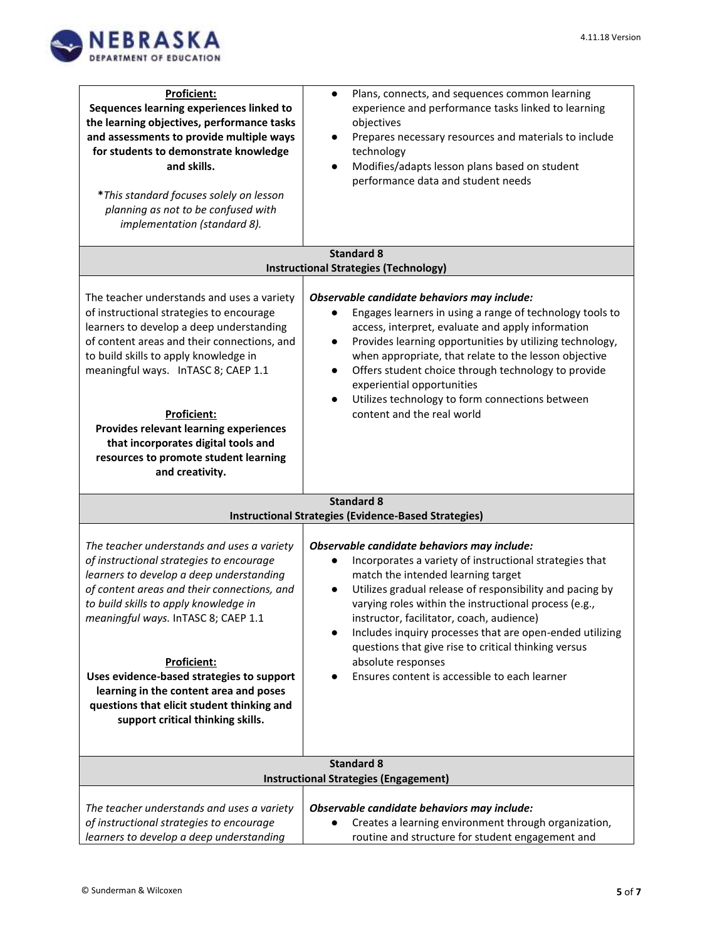

| <b>Proficient:</b><br>Sequences learning experiences linked to<br>the learning objectives, performance tasks<br>and assessments to provide multiple ways<br>for students to demonstrate knowledge<br>and skills.<br>*This standard focuses solely on lesson<br>planning as not to be confused with<br>implementation (standard 8).                                                                                                                                | Plans, connects, and sequences common learning<br>$\bullet$<br>experience and performance tasks linked to learning<br>objectives<br>Prepares necessary resources and materials to include<br>$\bullet$<br>technology<br>Modifies/adapts lesson plans based on student<br>$\bullet$<br>performance data and student needs                                                                                                                                                                                               |
|-------------------------------------------------------------------------------------------------------------------------------------------------------------------------------------------------------------------------------------------------------------------------------------------------------------------------------------------------------------------------------------------------------------------------------------------------------------------|------------------------------------------------------------------------------------------------------------------------------------------------------------------------------------------------------------------------------------------------------------------------------------------------------------------------------------------------------------------------------------------------------------------------------------------------------------------------------------------------------------------------|
|                                                                                                                                                                                                                                                                                                                                                                                                                                                                   | <b>Standard 8</b><br><b>Instructional Strategies (Technology)</b>                                                                                                                                                                                                                                                                                                                                                                                                                                                      |
| The teacher understands and uses a variety<br>of instructional strategies to encourage<br>learners to develop a deep understanding<br>of content areas and their connections, and<br>to build skills to apply knowledge in<br>meaningful ways. InTASC 8; CAEP 1.1<br><b>Proficient:</b><br>Provides relevant learning experiences<br>that incorporates digital tools and<br>resources to promote student learning<br>and creativity.                              | Observable candidate behaviors may include:<br>Engages learners in using a range of technology tools to<br>access, interpret, evaluate and apply information<br>Provides learning opportunities by utilizing technology,<br>$\bullet$<br>when appropriate, that relate to the lesson objective<br>Offers student choice through technology to provide<br>$\bullet$<br>experiential opportunities<br>Utilizes technology to form connections between<br>$\bullet$<br>content and the real world                         |
| <b>Standard 8</b><br><b>Instructional Strategies (Evidence-Based Strategies)</b>                                                                                                                                                                                                                                                                                                                                                                                  |                                                                                                                                                                                                                                                                                                                                                                                                                                                                                                                        |
| The teacher understands and uses a variety<br>of instructional strategies to encourage<br>learners to develop a deep understanding<br>of content areas and their connections, and<br>to build skills to apply knowledge in<br>meaningful ways. InTASC 8; CAEP 1.1<br><b>Proficient:</b><br>Uses evidence-based strategies to support<br>learning in the content area and poses<br>questions that elicit student thinking and<br>support critical thinking skills. | Observable candidate behaviors may include:<br>Incorporates a variety of instructional strategies that<br>match the intended learning target<br>Utilizes gradual release of responsibility and pacing by<br>$\bullet$<br>varying roles within the instructional process (e.g.,<br>instructor, facilitator, coach, audience)<br>Includes inquiry processes that are open-ended utilizing<br>questions that give rise to critical thinking versus<br>absolute responses<br>Ensures content is accessible to each learner |
| <b>Standard 8</b><br><b>Instructional Strategies (Engagement)</b>                                                                                                                                                                                                                                                                                                                                                                                                 |                                                                                                                                                                                                                                                                                                                                                                                                                                                                                                                        |
| The teacher understands and uses a variety<br>of instructional strategies to encourage<br>learners to develop a deep understanding                                                                                                                                                                                                                                                                                                                                | Observable candidate behaviors may include:<br>Creates a learning environment through organization,<br>routine and structure for student engagement and                                                                                                                                                                                                                                                                                                                                                                |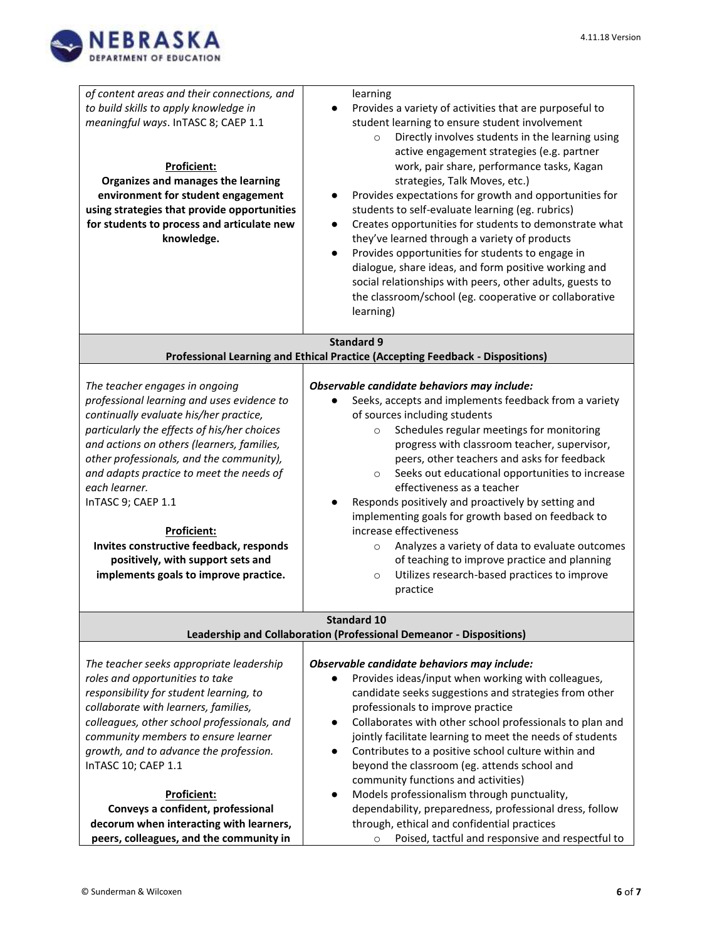

| of content areas and their connections, and<br>to build skills to apply knowledge in<br>meaningful ways. InTASC 8; CAEP 1.1<br><b>Proficient:</b><br>Organizes and manages the learning<br>environment for student engagement<br>using strategies that provide opportunities<br>for students to process and articulate new<br>knowledge.                                                                                                                                                          | learning<br>Provides a variety of activities that are purposeful to<br>student learning to ensure student involvement<br>Directly involves students in the learning using<br>$\circ$<br>active engagement strategies (e.g. partner<br>work, pair share, performance tasks, Kagan<br>strategies, Talk Moves, etc.)<br>Provides expectations for growth and opportunities for<br>students to self-evaluate learning (eg. rubrics)<br>Creates opportunities for students to demonstrate what<br>$\bullet$<br>they've learned through a variety of products<br>Provides opportunities for students to engage in<br>$\bullet$<br>dialogue, share ideas, and form positive working and<br>social relationships with peers, other adults, guests to<br>the classroom/school (eg. cooperative or collaborative<br>learning) |
|---------------------------------------------------------------------------------------------------------------------------------------------------------------------------------------------------------------------------------------------------------------------------------------------------------------------------------------------------------------------------------------------------------------------------------------------------------------------------------------------------|---------------------------------------------------------------------------------------------------------------------------------------------------------------------------------------------------------------------------------------------------------------------------------------------------------------------------------------------------------------------------------------------------------------------------------------------------------------------------------------------------------------------------------------------------------------------------------------------------------------------------------------------------------------------------------------------------------------------------------------------------------------------------------------------------------------------|
|                                                                                                                                                                                                                                                                                                                                                                                                                                                                                                   | <b>Standard 9</b>                                                                                                                                                                                                                                                                                                                                                                                                                                                                                                                                                                                                                                                                                                                                                                                                   |
|                                                                                                                                                                                                                                                                                                                                                                                                                                                                                                   | Professional Learning and Ethical Practice (Accepting Feedback - Dispositions)                                                                                                                                                                                                                                                                                                                                                                                                                                                                                                                                                                                                                                                                                                                                      |
| The teacher engages in ongoing<br>professional learning and uses evidence to<br>continually evaluate his/her practice,<br>particularly the effects of his/her choices<br>and actions on others (learners, families,<br>other professionals, and the community),<br>and adapts practice to meet the needs of<br>each learner.<br>InTASC 9; CAEP 1.1<br><b>Proficient:</b><br>Invites constructive feedback, responds<br>positively, with support sets and<br>implements goals to improve practice. | Observable candidate behaviors may include:<br>Seeks, accepts and implements feedback from a variety<br>of sources including students<br>Schedules regular meetings for monitoring<br>$\circ$<br>progress with classroom teacher, supervisor,<br>peers, other teachers and asks for feedback<br>Seeks out educational opportunities to increase<br>$\circ$<br>effectiveness as a teacher<br>Responds positively and proactively by setting and<br>implementing goals for growth based on feedback to<br>increase effectiveness<br>Analyzes a variety of data to evaluate outcomes<br>$\circ$<br>of teaching to improve practice and planning<br>Utilizes research-based practices to improve<br>$\circ$<br>practice                                                                                                 |
|                                                                                                                                                                                                                                                                                                                                                                                                                                                                                                   | <b>Standard 10</b>                                                                                                                                                                                                                                                                                                                                                                                                                                                                                                                                                                                                                                                                                                                                                                                                  |
|                                                                                                                                                                                                                                                                                                                                                                                                                                                                                                   | Leadership and Collaboration (Professional Demeanor - Dispositions)                                                                                                                                                                                                                                                                                                                                                                                                                                                                                                                                                                                                                                                                                                                                                 |
| The teacher seeks appropriate leadership<br>roles and opportunities to take<br>responsibility for student learning, to<br>collaborate with learners, families,<br>colleagues, other school professionals, and<br>community members to ensure learner<br>growth, and to advance the profession.<br>InTASC 10; CAEP 1.1<br>Proficient:                                                                                                                                                              | Observable candidate behaviors may include:<br>Provides ideas/input when working with colleagues,<br>candidate seeks suggestions and strategies from other<br>professionals to improve practice<br>Collaborates with other school professionals to plan and<br>$\bullet$<br>jointly facilitate learning to meet the needs of students<br>Contributes to a positive school culture within and<br>$\bullet$<br>beyond the classroom (eg. attends school and<br>community functions and activities)<br>Models professionalism through punctuality,<br>$\bullet$                                                                                                                                                                                                                                                        |
| Conveys a confident, professional                                                                                                                                                                                                                                                                                                                                                                                                                                                                 | dependability, preparedness, professional dress, follow                                                                                                                                                                                                                                                                                                                                                                                                                                                                                                                                                                                                                                                                                                                                                             |
| decorum when interacting with learners,<br>peers, colleagues, and the community in                                                                                                                                                                                                                                                                                                                                                                                                                | through, ethical and confidential practices<br>Poised, tactful and responsive and respectful to<br>$\circ$                                                                                                                                                                                                                                                                                                                                                                                                                                                                                                                                                                                                                                                                                                          |
|                                                                                                                                                                                                                                                                                                                                                                                                                                                                                                   |                                                                                                                                                                                                                                                                                                                                                                                                                                                                                                                                                                                                                                                                                                                                                                                                                     |